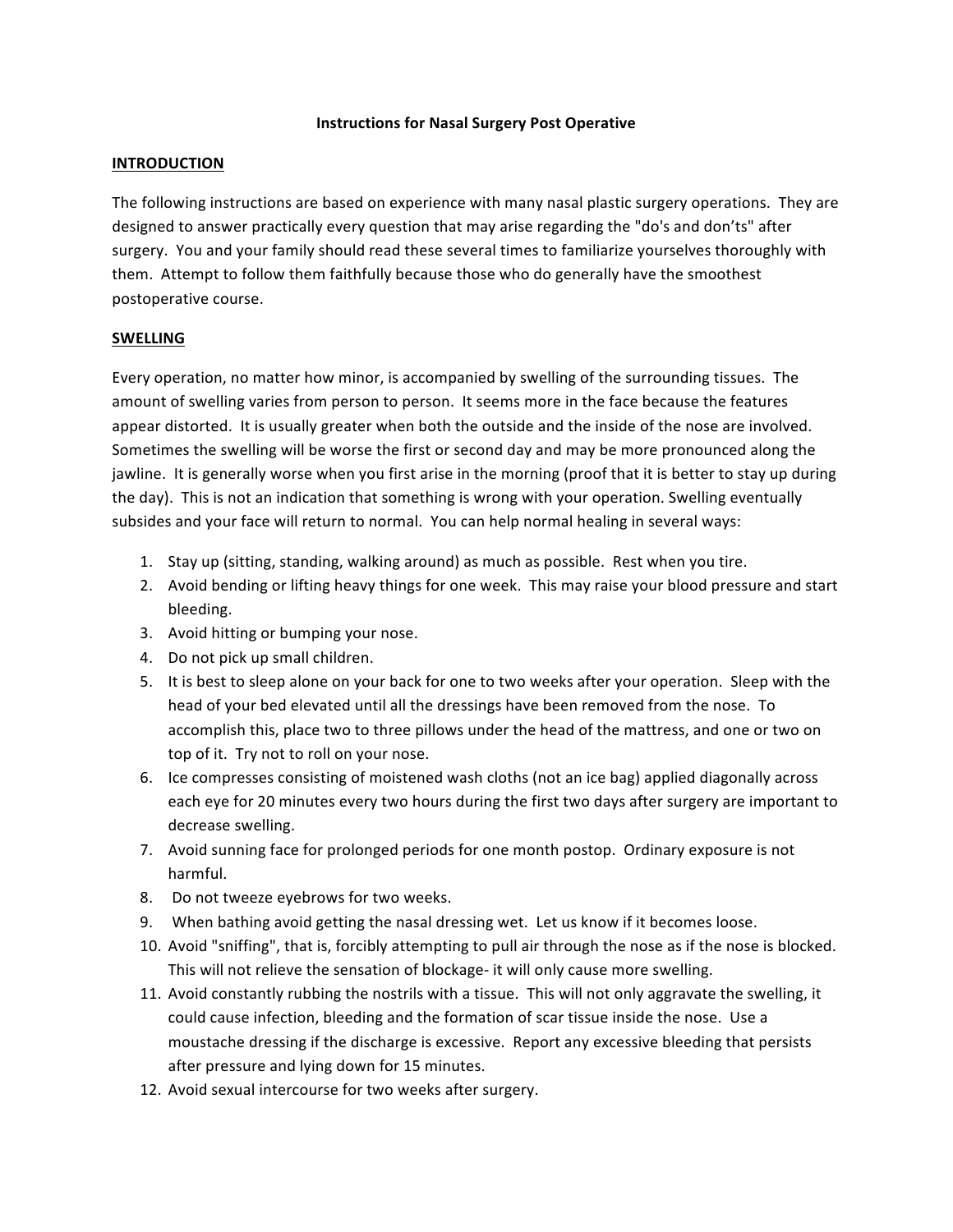#### **Instructions for Nasal Surgery Post Operative**

### **INTRODUCTION**

The following instructions are based on experience with many nasal plastic surgery operations. They are designed to answer practically every question that may arise regarding the "do's and don'ts" after surgery. You and your family should read these several times to familiarize yourselves thoroughly with them. Attempt to follow them faithfully because those who do generally have the smoothest postoperative course.

#### **SWELLING**

Every operation, no matter how minor, is accompanied by swelling of the surrounding tissues. The amount of swelling varies from person to person. It seems more in the face because the features appear distorted. It is usually greater when both the outside and the inside of the nose are involved. Sometimes the swelling will be worse the first or second day and may be more pronounced along the jawline. It is generally worse when you first arise in the morning (proof that it is better to stay up during the day). This is not an indication that something is wrong with your operation. Swelling eventually subsides and your face will return to normal. You can help normal healing in several ways:

- 1. Stay up (sitting, standing, walking around) as much as possible. Rest when you tire.
- 2. Avoid bending or lifting heavy things for one week. This may raise your blood pressure and start bleeding.
- 3. Avoid hitting or bumping your nose.
- 4. Do not pick up small children.
- 5. It is best to sleep alone on your back for one to two weeks after your operation. Sleep with the head of your bed elevated until all the dressings have been removed from the nose. To accomplish this, place two to three pillows under the head of the mattress, and one or two on top of it. Try not to roll on your nose.
- 6. Ice compresses consisting of moistened wash cloths (not an ice bag) applied diagonally across each eye for 20 minutes every two hours during the first two days after surgery are important to decrease swelling.
- 7. Avoid sunning face for prolonged periods for one month postop. Ordinary exposure is not harmful.
- 8. Do not tweeze eyebrows for two weeks.
- 9. When bathing avoid getting the nasal dressing wet. Let us know if it becomes loose.
- 10. Avoid "sniffing", that is, forcibly attempting to pull air through the nose as if the nose is blocked. This will not relieve the sensation of blockage- it will only cause more swelling.
- 11. Avoid constantly rubbing the nostrils with a tissue. This will not only aggravate the swelling, it could cause infection, bleeding and the formation of scar tissue inside the nose. Use a moustache dressing if the discharge is excessive. Report any excessive bleeding that persists after pressure and lying down for 15 minutes.
- 12. Avoid sexual intercourse for two weeks after surgery.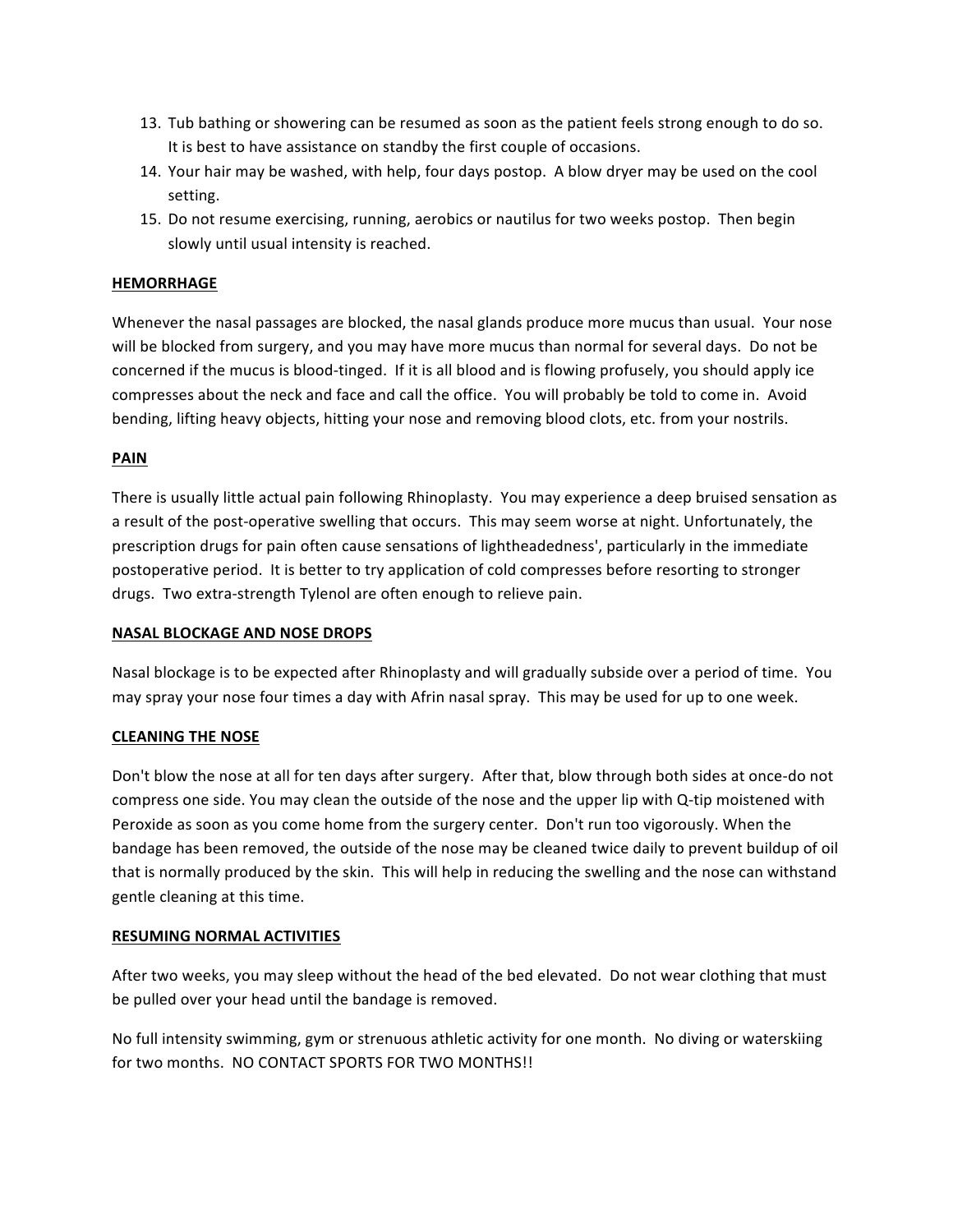- 13. Tub bathing or showering can be resumed as soon as the patient feels strong enough to do so. It is best to have assistance on standby the first couple of occasions.
- 14. Your hair may be washed, with help, four days postop. A blow dryer may be used on the cool setting.
- 15. Do not resume exercising, running, aerobics or nautilus for two weeks postop. Then begin slowly until usual intensity is reached.

# **HEMORRHAGE**

Whenever the nasal passages are blocked, the nasal glands produce more mucus than usual. Your nose will be blocked from surgery, and you may have more mucus than normal for several days. Do not be concerned if the mucus is blood-tinged. If it is all blood and is flowing profusely, you should apply ice compresses about the neck and face and call the office. You will probably be told to come in. Avoid bending, lifting heavy objects, hitting your nose and removing blood clots, etc. from your nostrils.

# **PAIN**

There is usually little actual pain following Rhinoplasty. You may experience a deep bruised sensation as a result of the post-operative swelling that occurs. This may seem worse at night. Unfortunately, the prescription drugs for pain often cause sensations of lightheadedness', particularly in the immediate postoperative period. It is better to try application of cold compresses before resorting to stronger drugs. Two extra-strength Tylenol are often enough to relieve pain.

## **NASAL BLOCKAGE AND NOSE DROPS**

Nasal blockage is to be expected after Rhinoplasty and will gradually subside over a period of time. You may spray your nose four times a day with Afrin nasal spray. This may be used for up to one week.

## **CLEANING THE NOSE**

Don't blow the nose at all for ten days after surgery. After that, blow through both sides at once-do not compress one side. You may clean the outside of the nose and the upper lip with Q-tip moistened with Peroxide as soon as you come home from the surgery center. Don't run too vigorously. When the bandage has been removed, the outside of the nose may be cleaned twice daily to prevent buildup of oil that is normally produced by the skin. This will help in reducing the swelling and the nose can withstand gentle cleaning at this time.

## **RESUMING NORMAL ACTIVITIES**

After two weeks, you may sleep without the head of the bed elevated. Do not wear clothing that must be pulled over your head until the bandage is removed.

No full intensity swimming, gym or strenuous athletic activity for one month. No diving or waterskiing for two months. NO CONTACT SPORTS FOR TWO MONTHS!!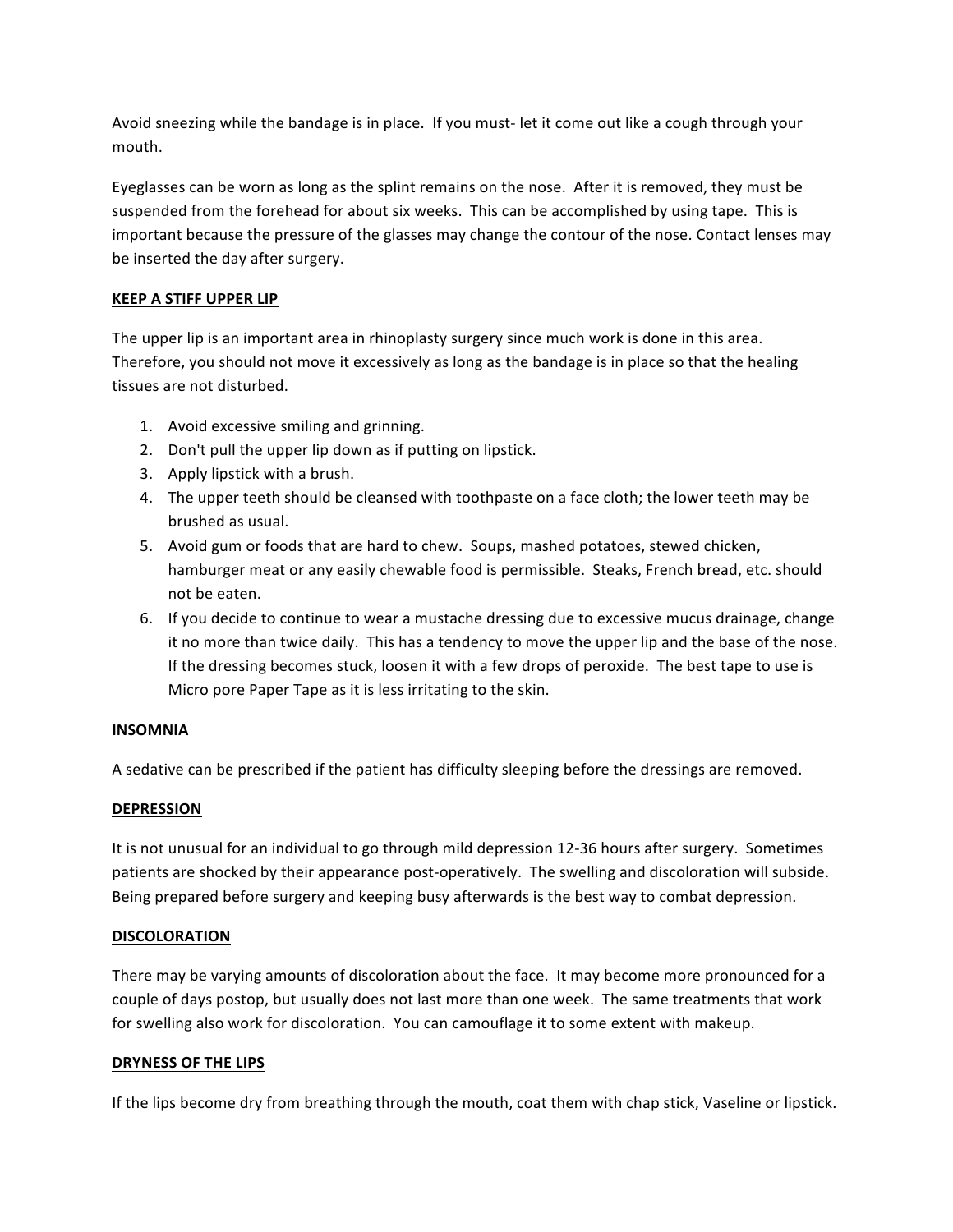Avoid sneezing while the bandage is in place. If you must- let it come out like a cough through your mouth. 

Eyeglasses can be worn as long as the splint remains on the nose. After it is removed, they must be suspended from the forehead for about six weeks. This can be accomplished by using tape. This is important because the pressure of the glasses may change the contour of the nose. Contact lenses may be inserted the day after surgery.

# **KEEP A STIFF UPPER LIP**

The upper lip is an important area in rhinoplasty surgery since much work is done in this area. Therefore, you should not move it excessively as long as the bandage is in place so that the healing tissues are not disturbed.

- 1. Avoid excessive smiling and grinning.
- 2. Don't pull the upper lip down as if putting on lipstick.
- 3. Apply lipstick with a brush.
- 4. The upper teeth should be cleansed with toothpaste on a face cloth; the lower teeth may be brushed as usual.
- 5. Avoid gum or foods that are hard to chew. Soups, mashed potatoes, stewed chicken, hamburger meat or any easily chewable food is permissible. Steaks, French bread, etc. should not be eaten.
- 6. If you decide to continue to wear a mustache dressing due to excessive mucus drainage, change it no more than twice daily. This has a tendency to move the upper lip and the base of the nose. If the dressing becomes stuck, loosen it with a few drops of peroxide. The best tape to use is Micro pore Paper Tape as it is less irritating to the skin.

## **INSOMNIA**

A sedative can be prescribed if the patient has difficulty sleeping before the dressings are removed.

## **DEPRESSION**

It is not unusual for an individual to go through mild depression 12-36 hours after surgery. Sometimes patients are shocked by their appearance post-operatively. The swelling and discoloration will subside. Being prepared before surgery and keeping busy afterwards is the best way to combat depression.

## **DISCOLORATION**

There may be varying amounts of discoloration about the face. It may become more pronounced for a couple of days postop, but usually does not last more than one week. The same treatments that work for swelling also work for discoloration. You can camouflage it to some extent with makeup.

## **DRYNESS OF THE LIPS**

If the lips become dry from breathing through the mouth, coat them with chap stick, Vaseline or lipstick.